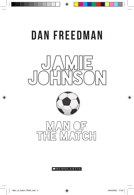# DAN FREEDMAN

◈







#### **MSCHOLASTIC**

⊕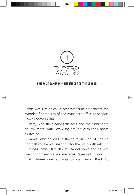

### Friday 22 January – The middle of the season

Jamie was sure he could hear rats scurrying beneath the wooden floorboards of the manager's office at Seaport Town Football Club.

Rats, with their hairy little feet and their big sharp yellow teeth. Rats, crawling around with their noses twitching.

Jamie Johnson was in the third division of English football and he was sharing a football club with rats.

It was Jamie's first day at Seaport Town and he was waiting to meet his new manager, Raymond Porlock.

All Jamie wanted was to get back. Back to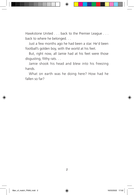Hawkstone United . . . back to the Premier League . . . back to where he belonged. . .

Just a few months ago he had been a star. He'd been football's golden boy, with the world at his feet.

But, right now, all Jamie had at his feet were those disgusting, filthy rats. . .

Jamie shook his head and blew into his freezing hands.

What on earth was he doing here? How had he fallen so far?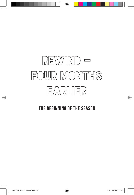# Rewind – four months earlier

# The beginning of the season

◈

◈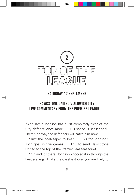

### Saturday 12 September

# Hawkstone United v Aldwich City Live commentary from the Premier League. . .

"And Jamie Johnson has burst completely clear of the City defence once more. . . His speed is sensational! There's no way the defenders will catch him now!

"Just the goalkeeper to beat. . . This for Johnson's sixth goal in five games. . . This to send Hawkstone United to the top of the Premier Leaaaaaaague!

"Oh and it's there! Johnson knocked it in through the keeper's legs! That's the cheekiest goal you are likely to

€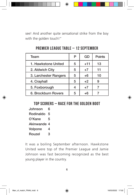see! And another quite sensational strike from the boy with the golden touch!"

| Team                  | P | GD    | <b>Points</b> |
|-----------------------|---|-------|---------------|
| 1. Hawkstone United   | 5 | $+11$ | 13            |
| 2. Aldwich City       | 5 | $+7$  | 11            |
| 3. Larchester Rangers | 5 | $+6$  | 10            |
| 4. Crayhall           | 5 | $+2$  |               |
| 5. Foxborough         | 4 | $+7$  |               |
| 6. Brockburn Rovers   | 5 | $+6$  |               |

# Premier League Table – 12 September

## Top Scorers – Race for the Golden Boot

Johnson 6 Rodinaldo 5 O'Kane 5 Akinwande 4 Volpone 4 Rouzel 3

It was a boiling September afternoon. Hawkstone United were top of the Premier League and Jamie Johnson was fast becoming recognized as the best young player in the country.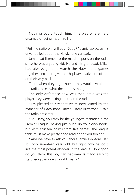Nothing could touch him. This was where he'd dreamed of being his entire life.

"Put the radio on, will you, Doug?" Jamie asked, as his driver pulled out of the Hawkstone car park.

\*

Jamie had listened to the match reports on the radio since he was a young kid. He and his granddad, Mike, had always gone to watch the Hawkstone games together and then given each player marks out of ten on their way back.

Then, when they'd got home, they would switch on the radio to see what the pundits thought.

The only difference now was that Jamie was the player they were talking about on the radio. . .

"I'm pleased to say that we're now joined by the manager of Hawkstone United, Harry Armstrong," said the radio presenter.

"So, Harry, you may be the youngest manager in the Premier League, having just hung up your own boots, but with thirteen points from five games, the league table must make pretty good reading for you tonight.

"And we have to ask you about Jamie Johnson! He's still only seventeen years old, but right now he looks like the most potent attacker in the league. How good do you think this boy can become? Is it too early to start using the words 'world class'?"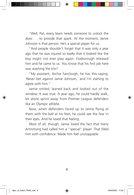"Well, Pat, every team needs someone to unlock the door. . . to provide that spark. At the moment, Jamie Johnson is that person. He's a special player for us.

"And people shouldn't forget that it was only a year ago that he was injured so badly that it looked like the boy might not ever play again. Foxborough released him and he came to us. You know that his first job here was washing the kits?

"My assistant, Archie Fairclough, he has this saying: 'Never bet against Jamie Johnson,' and I'm starting to agree with him."

Jamie smiled, leaned back and looked out of the window. It was true. A year ago, he could hardly walk, let alone sprint away from Premier League defenders like an Olympic athlete.

Now, when defenders faced up to Jamie flying at them with the ball at his feet, he could see the fear in their eyes. And he loved that feeling.

Most of all, though, Jamie loved the fact that Harry Armstrong had called him a "special" player. That filled him with confidence. Made him feel unstoppable.

8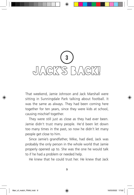

That weekend, Jamie Johnson and Jack Marshall were sitting in Sunningdale Park talking about football. It was the same as always. They had been coming here together for ten years, since they were kids at school, causing mischief together.

They were still just as close as they had ever been. Jamie didn't trust many people. He'd been let down too many times in the past, so now he didn't let many people get close to him.

Since Jamie's grandfather, Mike, had died, Jack was probably the only person in the whole world that Jamie properly opened up to. She was the one he would talk to if he had a problem or needed help.

He knew that he could trust her. He knew that Jack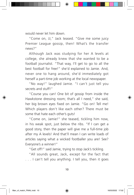would never let him down.

"Come on, JJ," Jack teased. "Give me some juicy Premier League gossip, then! What's the transfer news?"

Although Jack was studying for her A levels at college, she already knew that she wanted to be a football journalist. "That way, I'll get to go to all the best football for free!" she'd explained to Jamie. And, never one to hang around, she'd immediately got herself a part-time job working at the local newspaper.

"No way!" laughed Jamie. "I can't just tell you secrets and stuff!"

"Course you can! One bit of gossip from inside the Hawkstone dressing room; that's all I need," she said, her big brown eyes fixed on Jamie. "Go on! Tell me! Which players don't like each other? There must be some that hate each other's guts!

"Come on, Jamie!" she teased, tickling him now, in his weak spot, just below the ribs. "If I can get a good story, then the paper will give me a full-time job after my A levels! And that'll mean I can write loads of articles saying what a wicked footballer you are! See? Everyone's a winner!"

"Get off!" said Jamie, trying to stop Jack's tickling.

"All sounds great, Jack, except for the fact that . . . I can't tell you anything. I tell you, then it goes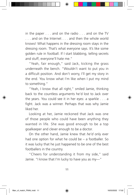in the paper . . . and on the radio . . . and on the TV . . . and on the Internet . . . and then the whole world knows! What happens in the dressing room stays in the dressing room. That's what everyone says. It's like some golden rule in football. If I start blabbing, telling secrets and stuff, everyone'll hate me."

"Yeah, fair enough," said Jack, kicking the grass underneath the bench. "Wouldn't want to put you in a difficult position. And don't worry, I'll get my story in the end. You know what I'm like when I put my mind to something."

"Yeah, I know that all right," smiled Jamie, thinking back to the countless arguments he'd lost to Jack over the years. You could see it in her eyes: a sparkle . . . a fight. Jack was a winner. Perhaps that was why Jamie liked her.

Looking at her, Jamie reckoned that Jack was one of those people who could have been anything they wanted in life. She was good enough to be a top goalkeeper and clever enough to be a doctor.

On the other hand, Jamie knew that *he'd* only ever had one option for what he could be – a footballer. So it was lucky that he just happened to be one of the best footballers in the country.

"Cheers for understanding it from my side," said Jamie. "I know that I'm lucky to have you as my—"